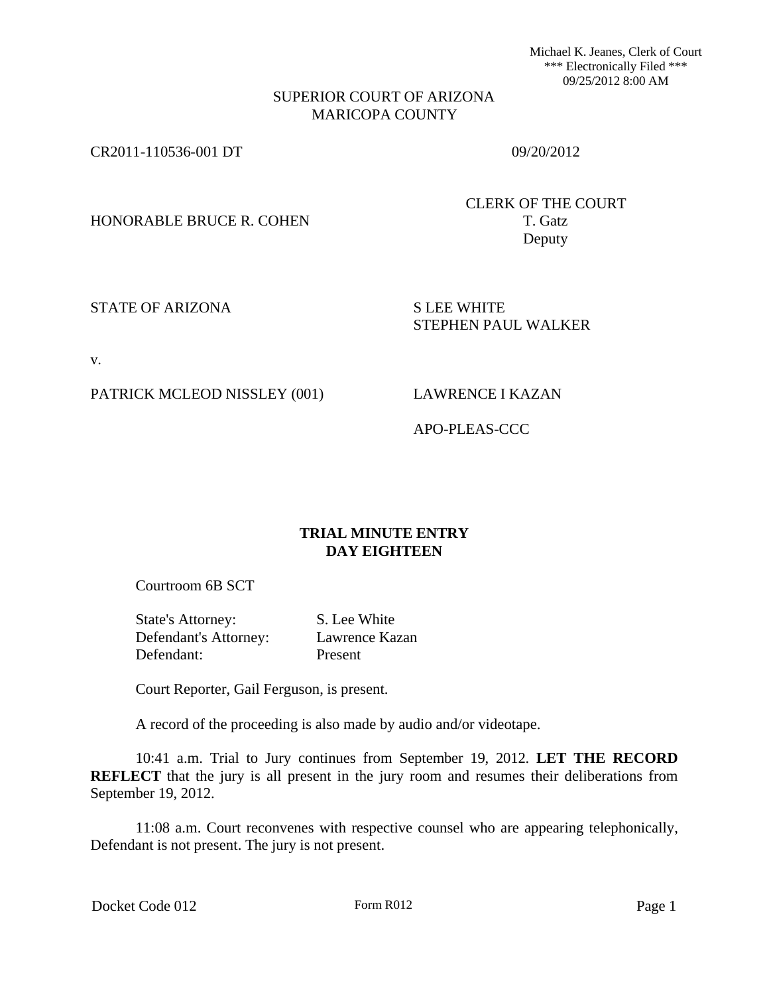Michael K. Jeanes, Clerk of Court \*\*\* Electronically Filed \*\*\* 09/25/2012 8:00 AM

## SUPERIOR COURT OF ARIZONA MARICOPA COUNTY

CR2011-110536-001 DT 09/20/2012

HONORABLE BRUCE R. COHEN T. Gatz

CLERK OF THE COURT Deputy

STATE OF ARIZONA SILEE WHITE

STEPHEN PAUL WALKER

v.

PATRICK MCLEOD NISSLEY (001) LAWRENCE I KAZAN

APO-PLEAS-CCC

# **TRIAL MINUTE ENTRY DAY EIGHTEEN**

Courtroom 6B SCT

State's Attorney: S. Lee White Defendant's Attorney: Lawrence Kazan Defendant: Present

Court Reporter, Gail Ferguson, is present.

A record of the proceeding is also made by audio and/or videotape.

10:41 a.m. Trial to Jury continues from September 19, 2012. **LET THE RECORD REFLECT** that the jury is all present in the jury room and resumes their deliberations from September 19, 2012.

11:08 a.m. Court reconvenes with respective counsel who are appearing telephonically, Defendant is not present. The jury is not present.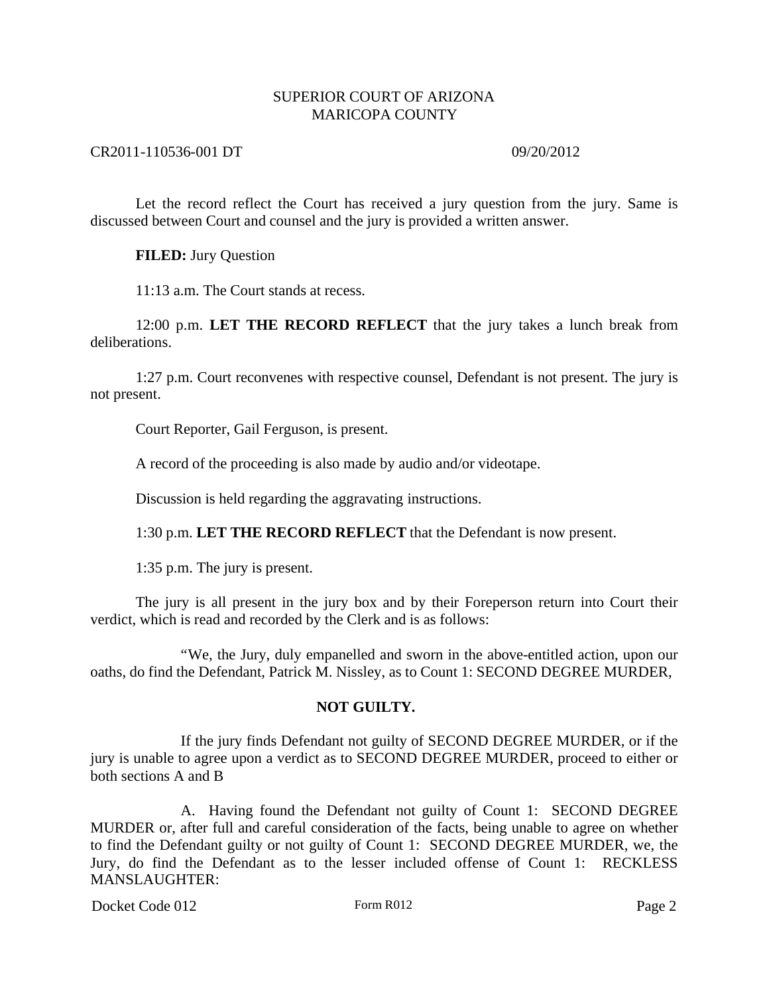## CR2011-110536-001 DT 09/20/2012

Let the record reflect the Court has received a jury question from the jury. Same is discussed between Court and counsel and the jury is provided a written answer.

## **FILED:** Jury Question

11:13 a.m. The Court stands at recess.

12:00 p.m. **LET THE RECORD REFLECT** that the jury takes a lunch break from deliberations.

1:27 p.m. Court reconvenes with respective counsel, Defendant is not present. The jury is not present.

Court Reporter, Gail Ferguson, is present.

A record of the proceeding is also made by audio and/or videotape.

Discussion is held regarding the aggravating instructions.

1:30 p.m. **LET THE RECORD REFLECT** that the Defendant is now present.

1:35 p.m. The jury is present.

The jury is all present in the jury box and by their Foreperson return into Court their verdict, which is read and recorded by the Clerk and is as follows:

"We, the Jury, duly empanelled and sworn in the above-entitled action, upon our oaths, do find the Defendant, Patrick M. Nissley, as to Count 1: SECOND DEGREE MURDER,

## **NOT GUILTY.**

If the jury finds Defendant not guilty of SECOND DEGREE MURDER, or if the jury is unable to agree upon a verdict as to SECOND DEGREE MURDER, proceed to either or both sections A and B

A. Having found the Defendant not guilty of Count 1: SECOND DEGREE MURDER or, after full and careful consideration of the facts, being unable to agree on whether to find the Defendant guilty or not guilty of Count 1: SECOND DEGREE MURDER, we, the Jury, do find the Defendant as to the lesser included offense of Count 1: RECKLESS MANSLAUGHTER: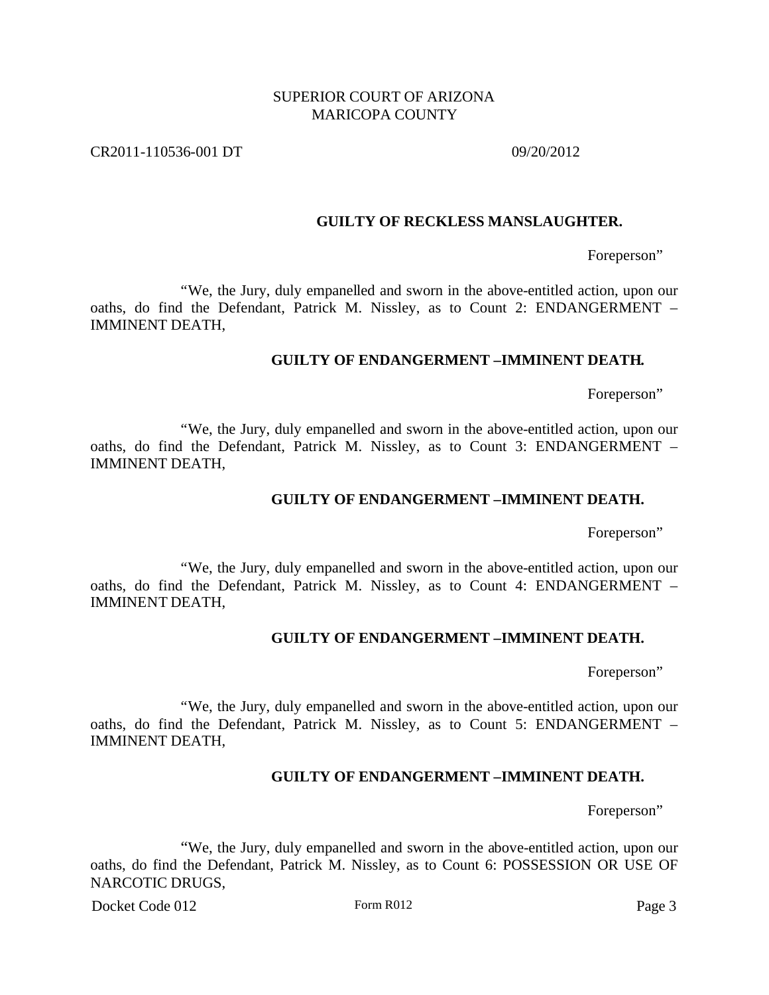CR2011-110536-001 DT 09/20/2012

#### **GUILTY OF RECKLESS MANSLAUGHTER.**

Foreperson"

"We, the Jury, duly empanelled and sworn in the above-entitled action, upon our oaths, do find the Defendant, Patrick M. Nissley, as to Count 2: ENDANGERMENT – IMMINENT DEATH,

## **GUILTY OF ENDANGERMENT –IMMINENT DEATH.**

Foreperson"

"We, the Jury, duly empanelled and sworn in the above-entitled action, upon our oaths, do find the Defendant, Patrick M. Nissley, as to Count 3: ENDANGERMENT – IMMINENT DEATH,

### **GUILTY OF ENDANGERMENT –IMMINENT DEATH.**

Foreperson"

"We, the Jury, duly empanelled and sworn in the above-entitled action, upon our oaths, do find the Defendant, Patrick M. Nissley, as to Count 4: ENDANGERMENT – IMMINENT DEATH,

### **GUILTY OF ENDANGERMENT –IMMINENT DEATH.**

Foreperson"

"We, the Jury, duly empanelled and sworn in the above-entitled action, upon our oaths, do find the Defendant, Patrick M. Nissley, as to Count 5: ENDANGERMENT – IMMINENT DEATH,

### **GUILTY OF ENDANGERMENT –IMMINENT DEATH.**

Foreperson"

"We, the Jury, duly empanelled and sworn in the above-entitled action, upon our oaths, do find the Defendant, Patrick M. Nissley, as to Count 6: POSSESSION OR USE OF NARCOTIC DRUGS,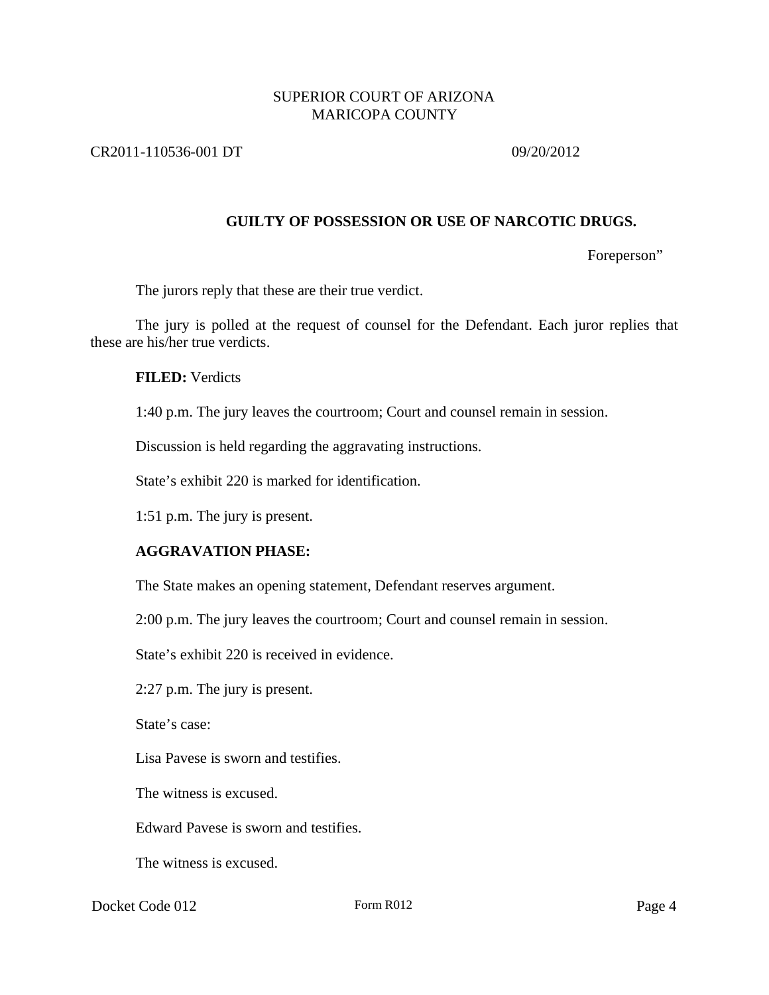## CR2011-110536-001 DT 09/20/2012

## **GUILTY OF POSSESSION OR USE OF NARCOTIC DRUGS.**

Foreperson"

The jurors reply that these are their true verdict.

The jury is polled at the request of counsel for the Defendant. Each juror replies that these are his/her true verdicts.

### **FILED:** Verdicts

1:40 p.m. The jury leaves the courtroom; Court and counsel remain in session.

Discussion is held regarding the aggravating instructions.

State's exhibit 220 is marked for identification.

1:51 p.m. The jury is present.

## **AGGRAVATION PHASE:**

The State makes an opening statement, Defendant reserves argument.

2:00 p.m. The jury leaves the courtroom; Court and counsel remain in session.

State's exhibit 220 is received in evidence.

2:27 p.m. The jury is present.

State's case:

Lisa Pavese is sworn and testifies.

The witness is excused.

Edward Pavese is sworn and testifies.

The witness is excused.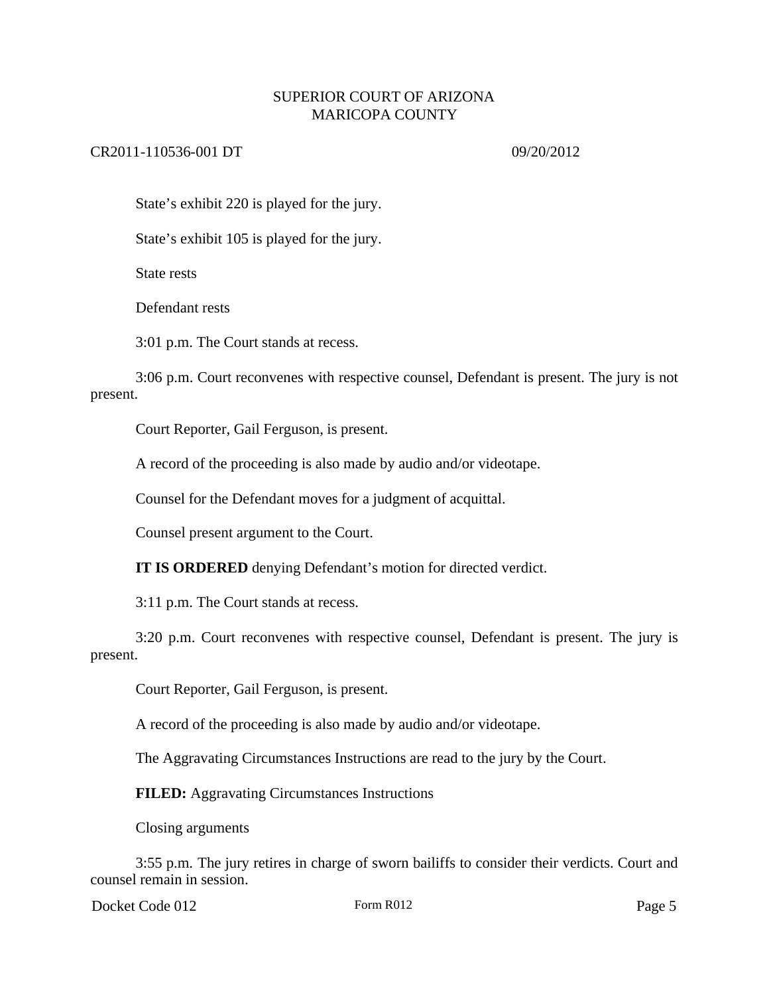## CR2011-110536-001 DT 09/20/2012

State's exhibit 220 is played for the jury.

State's exhibit 105 is played for the jury.

State rests

Defendant rests

3:01 p.m. The Court stands at recess.

3:06 p.m. Court reconvenes with respective counsel, Defendant is present. The jury is not present.

Court Reporter, Gail Ferguson, is present.

A record of the proceeding is also made by audio and/or videotape.

Counsel for the Defendant moves for a judgment of acquittal.

Counsel present argument to the Court.

**IT IS ORDERED** denying Defendant's motion for directed verdict.

3:11 p.m. The Court stands at recess.

3:20 p.m. Court reconvenes with respective counsel, Defendant is present. The jury is present.

Court Reporter, Gail Ferguson, is present.

A record of the proceeding is also made by audio and/or videotape.

The Aggravating Circumstances Instructions are read to the jury by the Court.

**FILED:** Aggravating Circumstances Instructions

Closing arguments

3:55 p.m. The jury retires in charge of sworn bailiffs to consider their verdicts. Court and counsel remain in session.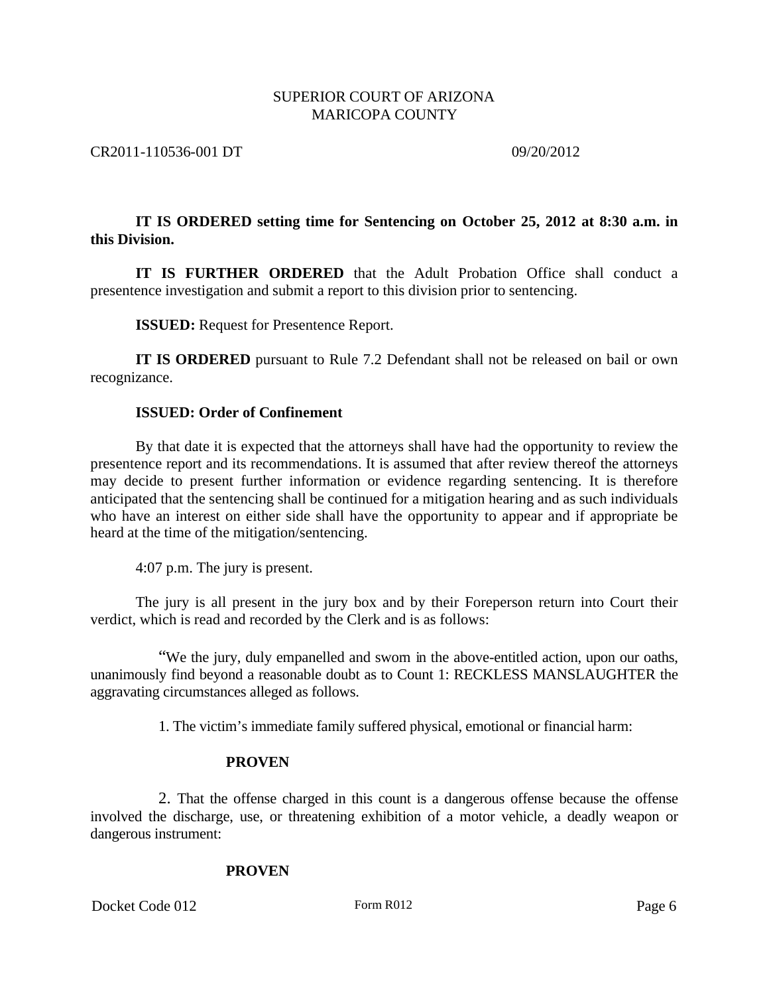### CR2011-110536-001 DT 09/20/2012

## **IT IS ORDERED setting time for Sentencing on October 25, 2012 at 8:30 a.m. in this Division.**

**IT IS FURTHER ORDERED** that the Adult Probation Office shall conduct a presentence investigation and submit a report to this division prior to sentencing.

**ISSUED:** Request for Presentence Report.

**IT IS ORDERED** pursuant to Rule 7.2 Defendant shall not be released on bail or own recognizance.

## **ISSUED: Order of Confinement**

By that date it is expected that the attorneys shall have had the opportunity to review the presentence report and its recommendations. It is assumed that after review thereof the attorneys may decide to present further information or evidence regarding sentencing. It is therefore anticipated that the sentencing shall be continued for a mitigation hearing and as such individuals who have an interest on either side shall have the opportunity to appear and if appropriate be heard at the time of the mitigation/sentencing.

4:07 p.m. The jury is present.

The jury is all present in the jury box and by their Foreperson return into Court their verdict, which is read and recorded by the Clerk and is as follows:

"We the jury, duly empanelled and sworn in the above-entitled action, upon our oaths, unanimously find beyond a reasonable doubt as to Count 1: RECKLESS MANSLAUGHTER the aggravating circumstances alleged as follows.

1. The victim's immediate family suffered physical, emotional or financial harm:

## **PROVEN**

2. That the offense charged in this count is a dangerous offense because the offense involved the discharge, use, or threatening exhibition of a motor vehicle, a deadly weapon or dangerous instrument:

## **PROVEN**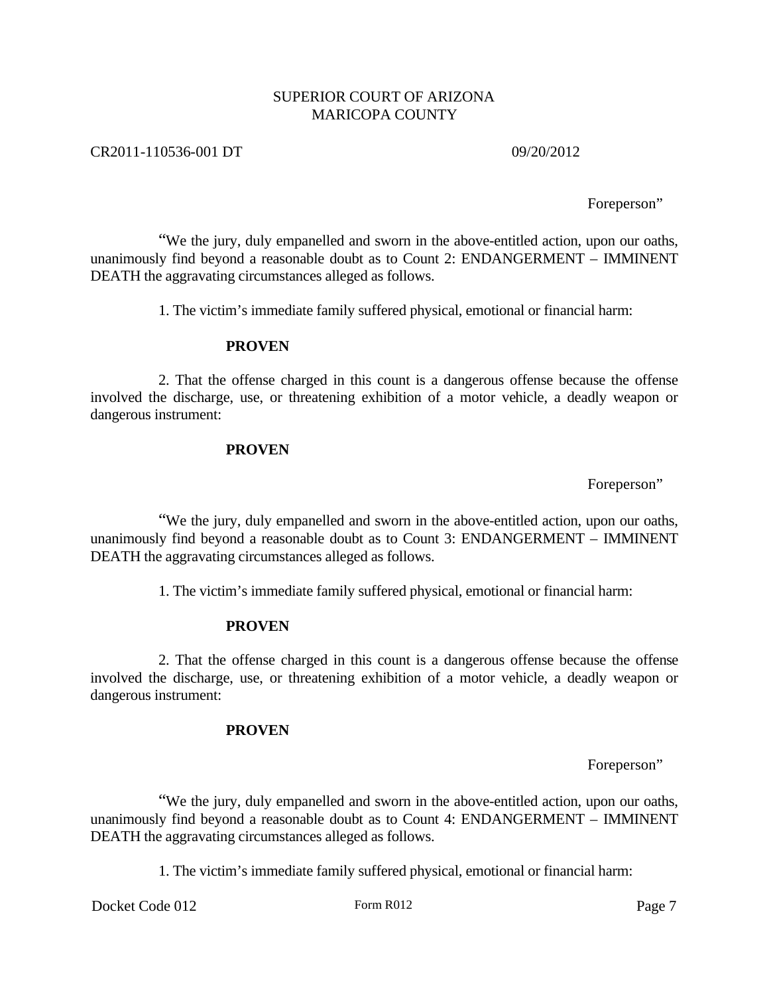## CR2011-110536-001 DT 09/20/2012

Foreperson"

"We the jury, duly empanelled and sworn in the above-entitled action, upon our oaths, unanimously find beyond a reasonable doubt as to Count 2: ENDANGERMENT – IMMINENT DEATH the aggravating circumstances alleged as follows.

1. The victim's immediate family suffered physical, emotional or financial harm:

#### **PROVEN**

2. That the offense charged in this count is a dangerous offense because the offense involved the discharge, use, or threatening exhibition of a motor vehicle, a deadly weapon or dangerous instrument:

#### **PROVEN**

Foreperson"

"We the jury, duly empanelled and sworn in the above-entitled action, upon our oaths, unanimously find beyond a reasonable doubt as to Count 3: ENDANGERMENT – IMMINENT DEATH the aggravating circumstances alleged as follows.

1. The victim's immediate family suffered physical, emotional or financial harm:

#### **PROVEN**

2. That the offense charged in this count is a dangerous offense because the offense involved the discharge, use, or threatening exhibition of a motor vehicle, a deadly weapon or dangerous instrument:

#### **PROVEN**

Foreperson"

"We the jury, duly empanelled and sworn in the above-entitled action, upon our oaths, unanimously find beyond a reasonable doubt as to Count 4: ENDANGERMENT – IMMINENT DEATH the aggravating circumstances alleged as follows.

1. The victim's immediate family suffered physical, emotional or financial harm: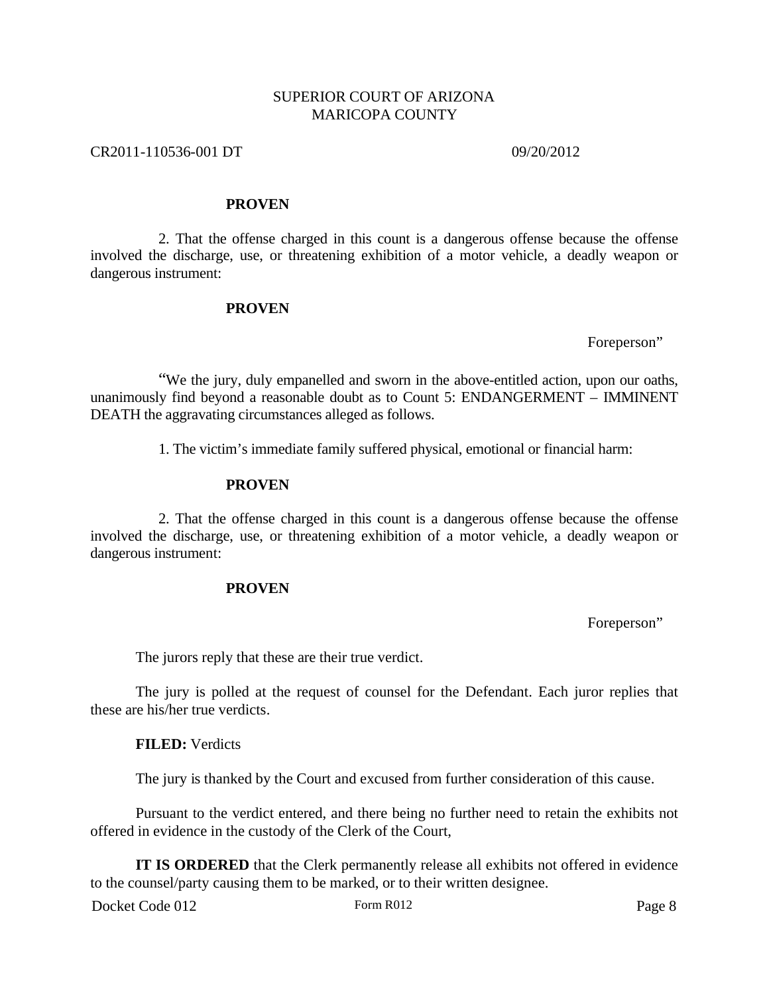## CR2011-110536-001 DT 09/20/2012

#### **PROVEN**

2. That the offense charged in this count is a dangerous offense because the offense involved the discharge, use, or threatening exhibition of a motor vehicle, a deadly weapon or dangerous instrument:

#### **PROVEN**

Foreperson"

"We the jury, duly empanelled and sworn in the above-entitled action, upon our oaths, unanimously find beyond a reasonable doubt as to Count 5: ENDANGERMENT – IMMINENT DEATH the aggravating circumstances alleged as follows.

1. The victim's immediate family suffered physical, emotional or financial harm:

#### **PROVEN**

2. That the offense charged in this count is a dangerous offense because the offense involved the discharge, use, or threatening exhibition of a motor vehicle, a deadly weapon or dangerous instrument:

### **PROVEN**

Foreperson"

The jurors reply that these are their true verdict.

The jury is polled at the request of counsel for the Defendant. Each juror replies that these are his/her true verdicts.

#### **FILED:** Verdicts

The jury is thanked by the Court and excused from further consideration of this cause.

Pursuant to the verdict entered, and there being no further need to retain the exhibits not offered in evidence in the custody of the Clerk of the Court,

**IT IS ORDERED** that the Clerk permanently release all exhibits not offered in evidence to the counsel/party causing them to be marked, or to their written designee.